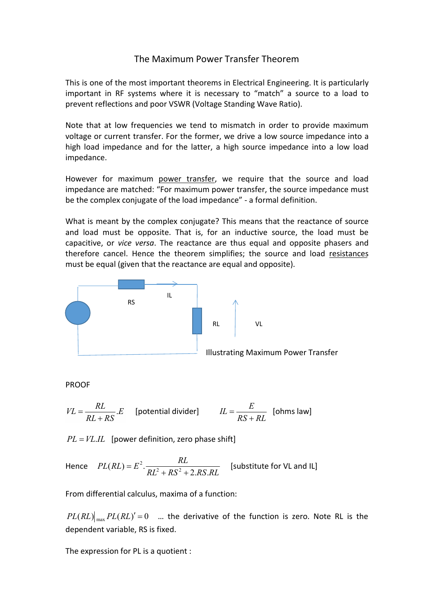## The Maximum Power Transfer Theorem

This is one of the most important theorems in Electrical Engineering. It is particularly important in RF systems where it is necessary to "match" a source to a load to prevent reflections and poor VSWR (Voltage Standing Wave Ratio).

Note that at low frequencies we tend to mismatch in order to provide maximum voltage or current transfer. For the former, we drive a low source impedance into a high load impedance and for the latter, a high source impedance into a low load impedance.

However for maximum power transfer, we require that the source and load impedance are matched: "For maximum power transfer, the source impedance must be the complex conjugate of the load impedance" - a formal definition.

What is meant by the complex conjugate? This means that the reactance of source and load must be opposite. That is, for an inductive source, the load must be capacitive, or *vice versa*. The reactance are thus equal and opposite phasers and therefore cancel. Hence the theorem simplifies; the source and load resistances must be equal (given that the reactance are equal and opposite).



PROOF

$$
VL = \frac{RL}{RL + RS} . E
$$
 [potential divider] 
$$
IL = \frac{E}{RS + RL}
$$
 [ohms law]

 $PL = VL.IL$  [power definition, zero phase shift]

Hence  $PL(RL) = E^2$ .  $RL^2 + RS^2 + 2.RS.RL$  $PL(RL) = E^2 \cdot \frac{RL}{RL^2 + RS^2 + 2.RS.RL}$  [substitute for VL and IL]  $+ RS^2 + 2.RS.RL$  $E^2$ .  $\frac{KL}{KL}$  [substitute for VL and IL]

From differential calculus, maxima of a function:

 $PL(RL)\big|_{\text{max}}PL(RL)'=0$  ... the derivative of the function is zero. Note RL is the dependent variable, RS is fixed.

The expression for PL is a quotient :